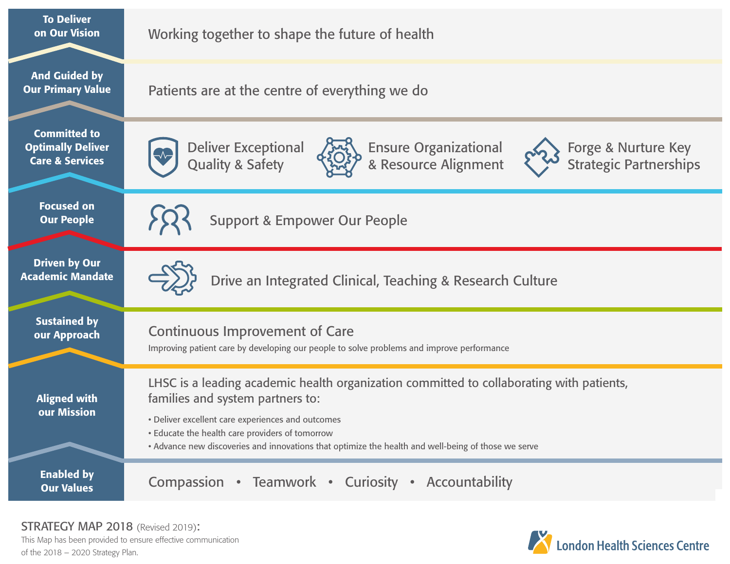

## STRATEGY MAP 2018 (Revised 2019):

This Map has been provided to ensure effective communication of the 2018 – 2020 Strategy Plan.